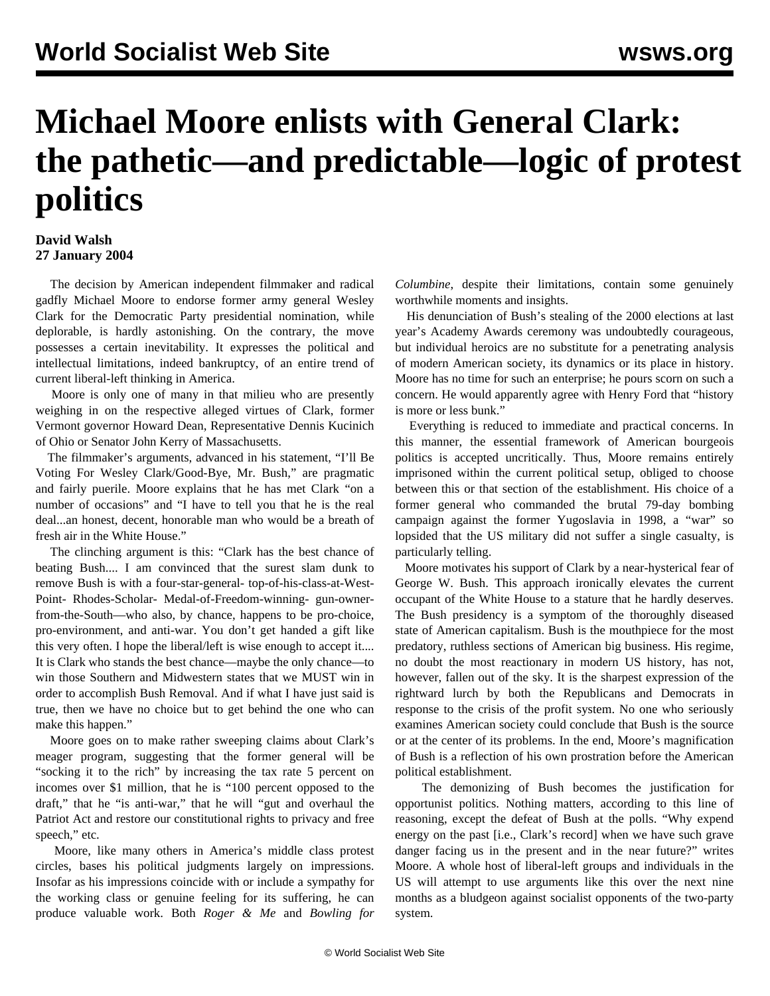## **Michael Moore enlists with General Clark: the pathetic—and predictable—logic of protest politics**

## **David Walsh 27 January 2004**

 The decision by American independent filmmaker and radical gadfly Michael Moore to endorse former army general Wesley Clark for the Democratic Party presidential nomination, while deplorable, is hardly astonishing. On the contrary, the move possesses a certain inevitability. It expresses the political and intellectual limitations, indeed bankruptcy, of an entire trend of current liberal-left thinking in America.

 Moore is only one of many in that milieu who are presently weighing in on the respective alleged virtues of Clark, former Vermont governor Howard Dean, Representative Dennis Kucinich of Ohio or Senator John Kerry of Massachusetts.

 The filmmaker's arguments, advanced in his statement, "I'll Be Voting For Wesley Clark/Good-Bye, Mr. Bush," are pragmatic and fairly puerile. Moore explains that he has met Clark "on a number of occasions" and "I have to tell you that he is the real deal...an honest, decent, honorable man who would be a breath of fresh air in the White House."

 The clinching argument is this: "Clark has the best chance of beating Bush.... I am convinced that the surest slam dunk to remove Bush is with a four-star-general- top-of-his-class-at-West-Point- Rhodes-Scholar- Medal-of-Freedom-winning- gun-ownerfrom-the-South—who also, by chance, happens to be pro-choice, pro-environment, and anti-war. You don't get handed a gift like this very often. I hope the liberal/left is wise enough to accept it.... It is Clark who stands the best chance—maybe the only chance—to win those Southern and Midwestern states that we MUST win in order to accomplish Bush Removal. And if what I have just said is true, then we have no choice but to get behind the one who can make this happen."

 Moore goes on to make rather sweeping claims about Clark's meager program, suggesting that the former general will be "socking it to the rich" by increasing the tax rate 5 percent on incomes over \$1 million, that he is "100 percent opposed to the draft," that he "is anti-war," that he will "gut and overhaul the Patriot Act and restore our constitutional rights to privacy and free speech," etc.

 Moore, like many others in America's middle class protest circles, bases his political judgments largely on impressions. Insofar as his impressions coincide with or include a sympathy for the working class or genuine feeling for its suffering, he can produce valuable work. Both *Roger & Me* and *Bowling for* *Columbine*, despite their limitations, contain some genuinely worthwhile moments and insights.

 His denunciation of Bush's stealing of the 2000 elections at last year's Academy Awards ceremony was undoubtedly courageous, but individual heroics are no substitute for a penetrating analysis of modern American society, its dynamics or its place in history. Moore has no time for such an enterprise; he pours scorn on such a concern. He would apparently agree with Henry Ford that "history is more or less bunk."

 Everything is reduced to immediate and practical concerns. In this manner, the essential framework of American bourgeois politics is accepted uncritically. Thus, Moore remains entirely imprisoned within the current political setup, obliged to choose between this or that section of the establishment. His choice of a former general who commanded the brutal 79-day bombing campaign against the former Yugoslavia in 1998, a "war" so lopsided that the US military did not suffer a single casualty, is particularly telling.

 Moore motivates his support of Clark by a near-hysterical fear of George W. Bush. This approach ironically elevates the current occupant of the White House to a stature that he hardly deserves. The Bush presidency is a symptom of the thoroughly diseased state of American capitalism. Bush is the mouthpiece for the most predatory, ruthless sections of American big business. His regime, no doubt the most reactionary in modern US history, has not, however, fallen out of the sky. It is the sharpest expression of the rightward lurch by both the Republicans and Democrats in response to the crisis of the profit system. No one who seriously examines American society could conclude that Bush is the source or at the center of its problems. In the end, Moore's magnification of Bush is a reflection of his own prostration before the American political establishment.

 The demonizing of Bush becomes the justification for opportunist politics. Nothing matters, according to this line of reasoning, except the defeat of Bush at the polls. "Why expend energy on the past [i.e., Clark's record] when we have such grave danger facing us in the present and in the near future?" writes Moore. A whole host of liberal-left groups and individuals in the US will attempt to use arguments like this over the next nine months as a bludgeon against socialist opponents of the two-party system.